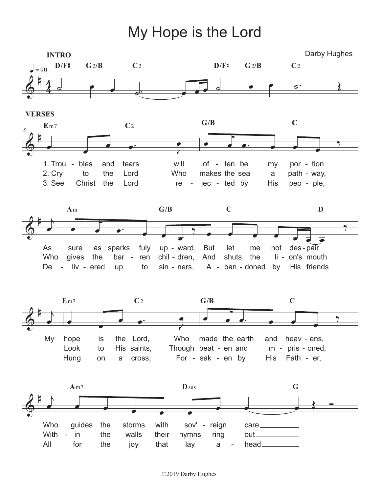My Hope is the Lord

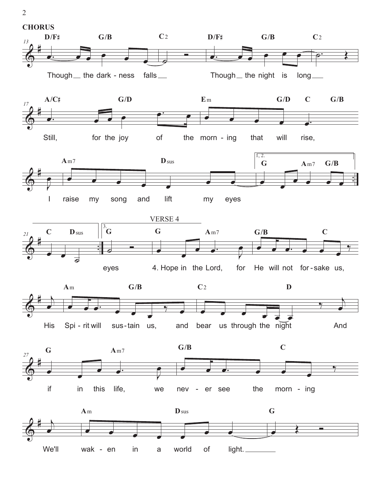

2